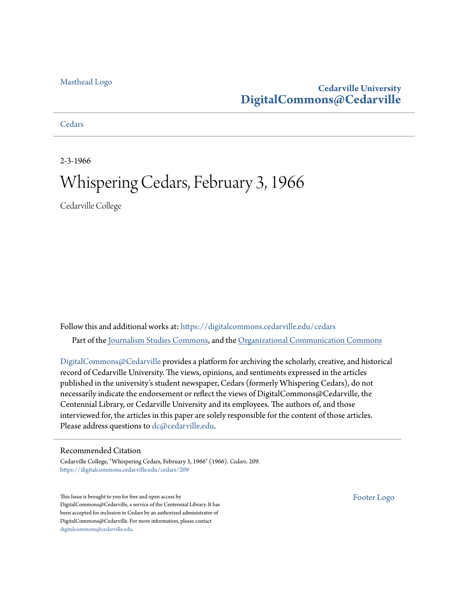## [Masthead Logo](http://www.cedarville.edu/?utm_source=digitalcommons.cedarville.edu%2Fcedars%2F209&utm_medium=PDF&utm_campaign=PDFCoverPages)

## **Cedarville University [DigitalCommons@Cedarville](https://digitalcommons.cedarville.edu?utm_source=digitalcommons.cedarville.edu%2Fcedars%2F209&utm_medium=PDF&utm_campaign=PDFCoverPages)**

## **[Cedars](https://digitalcommons.cedarville.edu/cedars?utm_source=digitalcommons.cedarville.edu%2Fcedars%2F209&utm_medium=PDF&utm_campaign=PDFCoverPages)**

2-3-1966

# Whispering Cedars, February 3, 1966

Cedarville College

Follow this and additional works at: [https://digitalcommons.cedarville.edu/cedars](https://digitalcommons.cedarville.edu/cedars?utm_source=digitalcommons.cedarville.edu%2Fcedars%2F209&utm_medium=PDF&utm_campaign=PDFCoverPages) Part of the [Journalism Studies Commons](http://network.bepress.com/hgg/discipline/333?utm_source=digitalcommons.cedarville.edu%2Fcedars%2F209&utm_medium=PDF&utm_campaign=PDFCoverPages), and the [Organizational Communication Commons](http://network.bepress.com/hgg/discipline/335?utm_source=digitalcommons.cedarville.edu%2Fcedars%2F209&utm_medium=PDF&utm_campaign=PDFCoverPages)

[DigitalCommons@Cedarville](http://digitalcommons.cedarville.edu/) provides a platform for archiving the scholarly, creative, and historical record of Cedarville University. The views, opinions, and sentiments expressed in the articles published in the university's student newspaper, Cedars (formerly Whispering Cedars), do not necessarily indicate the endorsement or reflect the views of DigitalCommons@Cedarville, the Centennial Library, or Cedarville University and its employees. The authors of, and those interviewed for, the articles in this paper are solely responsible for the content of those articles. Please address questions to [dc@cedarville.edu.](mailto:dc@cedarville.edu)

### Recommended Citation

Cedarville College, "Whispering Cedars, February 3, 1966" (1966). *Cedars*. 209. [https://digitalcommons.cedarville.edu/cedars/209](https://digitalcommons.cedarville.edu/cedars/209?utm_source=digitalcommons.cedarville.edu%2Fcedars%2F209&utm_medium=PDF&utm_campaign=PDFCoverPages)

This Issue is brought to you for free and open access by DigitalCommons@Cedarville, a service of the Centennial Library. It has been accepted for inclusion in Cedars by an authorized administrator of DigitalCommons@Cedarville. For more information, please contact [digitalcommons@cedarville.edu](mailto:digitalcommons@cedarville.edu).

[Footer Logo](http://www.cedarville.edu/Academics/Library.aspx?utm_source=digitalcommons.cedarville.edu%2Fcedars%2F209&utm_medium=PDF&utm_campaign=PDFCoverPages)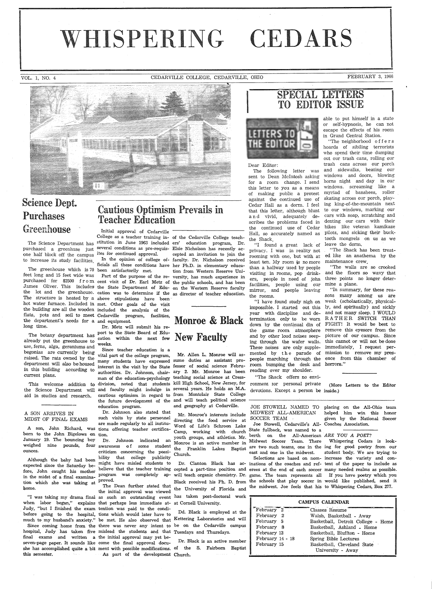# WHISPERING CEDARS

VOL. 1, NO. 4 CEDARVILLE COLLEGE, CEDARVILLE, OHIO FEBRUARY 3, 1966



# Science Dept. Greenhouse

The Science Department has one half block off the campus ites for continued approval. to increase its study facilities.

The greenhouse which is 70 been satisfactorily met. the department's needs for a and equipment. *long* time. Dr. Metz will submit his re-

already put the greenhouse to cation within the next few<br>already put the greenhouse to weeks. use, ferns, alga, geraniums and begonias are currently being raised. The rats owned by the department will also be housed in this building according to current plans.

aid in studies and research.

#### A SON ARRIVES IN MIDST OF FINAL EXAMS

born to the John Bigelows on tion. January 19. The bouncing boy weighed nine pounds, four awareness of some student ounces.

Although the baby had been expected since the Saturday before, John caught his mother tion which she was taking at proved. home.

. Judy, "but I finished the exam tention was paid to the condi-

this semester.

# Purchases Cautious Optimism Prevails in Teacher Education

purchased a greenhuse just <sup>several</sup> conditions as pre-requis- Elsie Nicholson has recently ac-Initial approval of Cedarville

feet long and 15 feet wide was Part of the purpose of the re- versity, has much experience in purchased for \$2500 from cent visit of Dr. Earl Metz of the public schools, and has been James Oliver. This includes the State Department of Edu- on the Western Reserve faculty the lot and the greenhouse. cation was to determine if the as director of teacher education. The structure is heated by a above stipulations have been hot water furnace. Included in met. Other goals of the visit the building are all the wooden included the analysis of the flats, pots and soil to meet Cedarville program, facilities,

port to the State Board of Edu-The botany department has cation within the next few

This welcome addition to division, noted that students kill High-School, New Jersey, for the Science Department will and faculty might indulge in several years. He holds an M.A. many students have expressed sume duties as assistant prointerest in the visit by the State fessor of social science Febru- room bumping the desk and horrors." authorities. Dr. Johnson, chair- ary 2. Mr. Monroe has been man of the education-psychology teaching social science at Cresscautious optimism in regard to from Montclair State College Since teacher education is <sup>a</sup> vital part of the college program, the future development of the and will teach political science education program.

A son, John Richard, was tions offering teacher certifica-Dr. Johnson also stated that are made regularly to all institu-

> Dr. Johnson indicated an criticism concerning the possi bility that college publicity might have misled students to

"I was taking my drama final as such an outstanding event has taken post-doctoral work when labor began," explains that perhaps less immediate at-at Cornell University. before going to the hospital, tions which would later have to much to my husband's anxiety." be met. He also observed that Kettering Laboratories and will Since coming home from the there was never any intent to be on the Cedarville campus hospital, Judy has taken five mislead the students and that Tuesdays and Thursdays. final exams and written <sup>a</sup> the initial approval may yet beseven-page paper. It sounds like come the final approval docuseven-page paper. It sounds like come the final approval docu-<br>she has accomplished quite a bit ment with possible modifications. of the S. Fairborn Baptist the initial approval was viewed As part of the development Church.

College as a teacher training in-of the Cedarville College teachstitution in June 1963 included ers' education program, Dr. In the opinion of college of-faculty. Dr. Nicholson received ficials all these conditions have her Ph.D. in elementary educacepted an invitation to join the tion from Western Reserve Uni-

# Monroe & Black New Faculty

Mr. Allen L. Monroe will asand geography at Cedarville.

such visits by state personnel directing the food service at Mr. Monroe's interests include Word of Life's Schroon Lake Camp, working with church State fullback, was named to <sup>a</sup> youth groups, and athletics. Mr. berth on the All-American ARE YOU A POET? Church.

The Dean further stated that  $_{\text{the}}$  University of Floride and the midwest. Joe feels that his to Whispering Cedars, Box 277. the University of Florida and

Dd. Black is employed at the

# **ISPECIAL LETTERS**<br>TO EDITOR ISSUE



#### Dear Editor:

The following letter was sent to Dean Mcintosh asking for a room change. I send this letter to you as a means of making public a protest against the continued use of Cedar Hall as a dorm. I feel that this letter, although blunt and vivid, adequately dethe Shack.

"I found a great lack of privacy. I was in reality not least ten. My room is no more than a hallway used by people visiting in rooms, pop drinkers, people in need of john facilities, people using our mine a plane. mirror, and people leaving the rooms.

reading over my shoulder.

"The Shack offers no environment ror personal private (More Letters to the Editor devotions. Except a person be inside.)

able to put himself in a state or self-hypnosis, he can not escape the effects of his room in Grand Central Station.

scribes the problems faced in denting our cars with their the continued use of Cedar bikes like veteran kamikaze Hall, so accurately named as pilots, and sicking their buck- "The neighborhood o f f e r s hoards of sibiling terrorists who spend their time dumping out our trash cans, rolling our trash cans across our porch and sidewalks, beating our windows and doors, blowing horns night and day in our windows. screaming like a myriad of banshees, roller skating across our porch, play ing king-of-the-mountain next to our windows, marking our cars with soap, scratching and tooth mongrels on us as we leave the dorm.

rooming with one, but with at ed like an anathema by the "The Shack has been treat maintenance crew.

"The walls are so crooked and the floors so wavy that three points no longer deter-

"I have found study nigh on weak (scholastically, physical impossible. I started out this ly, and spiritually) and sickly year with discipline and de-· and not many sleep. I WOULD termination only to be worn RATHER SWITCH THAN down by the continual din of FIGHT! It would be best to down by the continual din of FIGHT! It would be best to<br>the game room atmosphere remove this eyesore from the and by other loud noises seep-picture of our campus. Since ing through the wafer walls. this cannot or will not be done These noises are only supple-immediately, I request per mented by th e parade of mission to remove my pres people marching through the ence from this chamber of "In summary, for these rea sons many among us are

MIDWEST ALL-AMERICAN

Joe Stowell, Cedarville's All-Coaches Association.

in the midst of a final examina-program was completely ap-will teach organic chemistry. Dr. game. The team represents all If you have poetry which you believe that the teacher training cepted a part-time position and erees at the end of each soccer many needed realms as possible. Dr. Clanton Black has ac- inations of the coaches and ref-tent of the paper to include as Black received his Ph. D. from the schools that play soccer in would like published, send it

JOE STOWELL NAMED TO placing on the All-Ohio team helped him win this honor given by the National Soccer

Monroe is an active member in Midwest Soccer Team. There Whispering Cedars is look the Franklin Lakes Baptist are two such teams, one in the ing for good poetry from our east and one in the midwest. student body. We are trying to Selections are based on nom-increase the variety and con-

| <b>CAMPUS CALENDAR</b> |  |                                                                                                                                                                                                                               |  |  |
|------------------------|--|-------------------------------------------------------------------------------------------------------------------------------------------------------------------------------------------------------------------------------|--|--|
| February 2             |  | Classes Resume                                                                                                                                                                                                                |  |  |
| February 2             |  | Walsh, Basketball - Away                                                                                                                                                                                                      |  |  |
| February 5             |  | Basketball, Detroit College - Home                                                                                                                                                                                            |  |  |
| February 8             |  | Basketball, Ashland - Home                                                                                                                                                                                                    |  |  |
| February 12            |  | Basketball, Bluffton - Home                                                                                                                                                                                                   |  |  |
| February 14 - 18       |  | Spring Bible Lectures                                                                                                                                                                                                         |  |  |
| February 15            |  | Basketball, Cleveland State                                                                                                                                                                                                   |  |  |
|                        |  | University - Away                                                                                                                                                                                                             |  |  |
|                        |  | the control of the control of the control of the control of the control of the control of the control of the control of the control of the control of the control of the control of the control of the control of the control |  |  |

SOCCER TEAM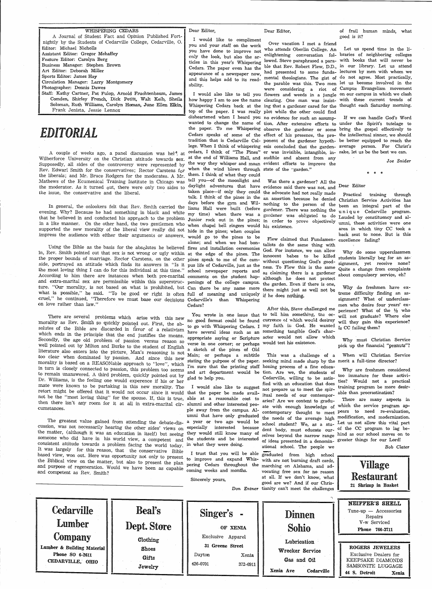|  |  | Dear Editor. |
|--|--|--------------|
|--|--|--------------|

WHISPERING CEDARS A Journal of Student Fact and Opinion Published Fortnightly by the Students of Oedarville College, Cedarville, 0. Editor: Michael Nicholls Assistant Editor: Gregor Mehaffey Feature Editor: Carolyn Berg Business Manager: Stephen Brown Art Editor: Deborah Miller Sports Editor: James Hay

Circulation Manager: Larry Montgomery Photographer: Dennis Dawes

Staff: Kathy Cartner, Pat Fulop, Arnold Fruchtenbaum, James Comden, Shirley French, Dick Petitt, Walt Keib, Sheila Soloman, Ruth Williams, Carolyn Homan, June Ellen Elkin, Frank Jenista, Jessie Lennox

# *EDITORIAL*

A couple of weeks ago, a panel discussion was hel<sup>2</sup> at Wilberforce University on the Christian attitude towards sex. Supposedly, all sides of the controversy were represented by Rev. Edwarl Smith for the conservatives; Rector Carstens for the liberals; and Mr. Bruce Rodgers for the moderates. A Mr. Mathews of the Ecumenical Training Institute in Chicago was the moderator. As it turned out, there were only two sides to the issue, the conservative and the liberal.

In general, the onlookers felt that Rev. Smith carried the liams Hall were built (before gardener. There was nothing the unique Codenulle program evening. Why? Because he had something in black and white that he believed in and conducted his approach to the problem Junior rock out in the pines: in ander the was obligated to do Lauded by constituency and alin a like manner. On the other hand, the two gentlemen who when chanel hell ringers would bis evistence. supported the new morality of the liberal view really did not hide in the pines; when couples impress the audience with either their arguments or answers. would go to the pines to be in a like manner. On the other hand, the two gentlemen who when chapel bell ringers would his existence.

Using the Bible as the basis for the absolutes he believed fires and installation ceremonies  $\alpha_{\text{old}}$  in the same thing with in, Rev. Smith pointed out that sex is not wrong or ugly within at the edge of the pines. The innocent babes to be killed the proper bounds of marriage. Rector Carstens, on the other pines speak to me of the cam-without questioning God's goodside, portrayed an attitude which finds its answers in "Is it pus life of Cedarville, just as the ness. To Flew this is the same the most loving thing I can do for this individual at this time." school newspaper reports and as claiming there is <sup>a</sup>gardener According to him there are instances when both pre-marital comments on the student hapand extra-marital sex are permissible within this superstruc- penings of the college campus. the garden Exep if there is one ture. "Our morality, is not based on what is prohibited, but Can there be any name more the garden. Even if there is one, what is possible," he said. "To be good or right is often full of meaning and uniquely if he does nothing. cruel," he continued, "Therefore we must base our decisions Cedarville's than Whispering on love rather than law."

There are several problems which arise with this new 100 whole in one issue that the fact could be found the which would destroy morality as Rev. Smith so quickly pointed out. First, the absolutes of the Bible are discarded in favor of a relativism to go with Whispering Cedars. I my faith in God. He wanted which ends in the principle that the end justifies the means. appropriate saying or Scripture acter would not allow which Secondly, the age old problem of passion versus reason so well pointed out by Milton and Burke to the student of English literature also enters into the picture. Man's reasoning is not  $\mathbf{r}_s$  a sketch of the pines of Old too clear· when dominated by passion. And since. this new morality is based on a REASONable approach to "love", which  $\frac{1}{r}$  stating the purpose of the paper. in turn is closely connected to passion, this problem too seems we are that the printing staff honing process of a fine educato remain unanswered. A third problem, quickly painted out by Dr. Williams, is the feeling one would experence if his or her mate were known to be partaking in this new morality. The I would also like to suggest not proper us to meet the spirretort might be offered that it would not occur since it would that the paper be made avail-<br>not be the "most loving thing" for the groups. If it is defined as a little it would be interesting than procrastination? not be the "most loving thing" for the spouse. If, this is true, able at a reasonable cost to aries? Are we content to gradu-<br>then there isn't any room for it at all in actual with the line of the spouse of the spouse of t then there isn't any room for it at all in extra-marital cir- alumni and other interested peo-<br>cumstances. The with enough knowledge of which the service program ap-

Ine greatest value gained from attending the debate-dis- a year or two ago would be school student? We, as a stu- Let us not allow this vital part cussion, was not necessarily hearing the other sides' views on especially interested because dent body, must educate our- of the CC program to lag bethe matter, (although it was an education in itself) but seeing they would still know many of selves beyond the narrow range hind as our school moves on to someone who did have in his world view, a competent and the students and be interested consistent attitude towards a problem facing the world  $today$  in what they were doing. It was largely for this reason, that the conservative Eible based view, won out. Here was opportunity not only to present the Biblical view on the matter, but also to present the plan surface and expand Whis- with are not burning draft cards, and competent as Rev. Smith? and purpose of regeneration. Would we have been as capable coming weeks and months.

CEDARVILLE, omo

Dear Editor,

I would like to compliment you and your staff on the work you have done to improve not only the look, but also the articles in this year's Whispering ability.

top of the paper. I was really plot while the other could find disheartened when I heard you no evidence for such an assumpwanted to change the name of tion. After extensive efforts to under the Spirit's tutelage to the paper. To me Whispering observe the gardener or some bring the gospel effectively to Cedars speaks of some of the effect of his presence, the pro-the intellectual sinner, we should tradition that is Cedarville Col-ponent of the gardener hypoth-be better equipped to reach the lege. When I think of whispering esis concluded that the garden-average person. For Christ's cedars, I think of "The Pines" er was invisible, intangible, in- sake, let us be the best we can. at the end of Williams Hall, and audible and absent from any the way they whisper and moan evident efforts to improve the when the wind blows through state of the "garden." them. I think of what they could tell you-of the moonlight and Was there <sup>a</sup>gardener? All the taken place-if only they could the advocate had not really made days before the gym and Wil- nothing to the person of the been an integral part of the alone; and when we had bon- talists do the same thing with Cedars?

have several ideas such as an something tangible God's charverse in one corner; or perhaps would test his existence. Main; or perhaps a subtitle glad to help you.

Over vacation I met a friend who attends Oberlin College. An

daylight adventures that have evidence said there was not, and Dear Editor talk. I think of the pines in the an assertion because he denied Christian Sorrico Activities her

> Flew claimed that Fundamen- excellence fading? God. For instance, we can allow there might just as well not be

You wrote in one issue that to tell him something, the oc-After this, Steve challenged me

and art department would be tion. Are we, the students of ple away from the campus. Al-contemporary thought to meet pears to need re-evaluation, umni that have only graduated the needs of the average high modification, and modernization. This was a challenge of <sup>a</sup> seeking mind made sharp by the merit a full-time director? Cedarville, willing to be satisnot prepare us to meet the spirof ideas presented in a denomin-greater things for our Lord! ational school. The people we

I trust that you will be able graduated from high school **contained to the school** and the school of the school of the school of the school of the school of the school of the school of the school of the school of the schoo

of frail human minds, what good is it?

Cedars. The paper even has the ble that Rev. Robert Flew, D.D., in our library. Let us attend appearance of a newspaper now, had presented to some funda-lectures by men with whom we and this helps add to its read- mental theologians. The gist of do not agree. Most practically, I would also like to tell you flowers and weeds in a jungle on our campus in which we clash how happy I am to see the name clearing. One man was insist-with these current trends of Whispering Cedars back at the ing that <sup>a</sup>gardener cared for the thought each Saturday morning. enlightening conversation fol-braries of neighboring colleges lowed. Steve paraphrased a para-with books that will never be the parable was this. Two men let us become involved in the were considering a riot of Campus Evangelism movement Let us spend time in the li-

If we can handle God's Word

\* \* \*

Joe *Snider* 

Christian Service Activities has u n i q u e Cedarville program. area in which tiny CC took <sup>a</sup> back seat to none. But is this

Why do some upperclassmen students literally beg for an assignment, yet receive none? Quite a change from complaints about compulsory service, eh?

Why do freshmen have extreme difficulty finding an assignment? What of underclassmen who desire four years' experience? What of the  $\frac{1}{2}$  who will not graduate? Where else will they gain this experience? Is CC failing them?

Why must Christian Service pick up the financial, "peanuts"?

When will Christian Service

Why are freshmen considered too immature for these activities? Would not a practical training program be more desir-

There are many aspects in

Bob *Clater* 

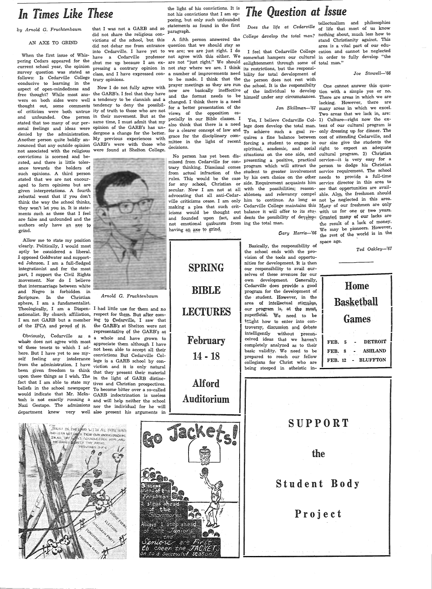# **In Times Like These the light of his convictions.** It is not his convictions that I am op-<br>posing, but only such unfounded

### AN AXE TO GRIND

When the first issue of Whispering Cedars appeared for the -current school year, the opinion survey question was stated as follows: Is Cedarville College ,conducive to learning in the aspect of open-mindedness and free thought? While most ans-the GARB's. I feel that they have wers on both sides were well <sup>a</sup>tendency to be clannish and <sup>a</sup> thought out, some comments tendency to deny the possibil-,of criticism were both untrue ity of truth to those who are not .and unfounded. One person in their movement. But at the stated that too many of our per- same time, I must admit that my sonal feelings and ideas were opinion of the GARB's has undenied by the administration. dergone a change for the better. .Another person quite boldly announced that any outside opinion GARB's were with those who not associated with the religious were found at Shelton College. -convictions is scorned and be- .rated, and there is little tolerance towards the holders of :such opinions. A third person .stated that we are not encour- .aged to form opinions but are <sup>g</sup>iven interpretations. A fourth .rebuttal went that if you don't think the way the school thinks, they won't let you in. It is state- :ments such as these that I feel .are false and unfounded and the authors only have an axe to grind.

.Allow me to state my position dearly. Politically, I would most aptly be considered a liberal. <sup>I</sup>opposed Goldwater and supported Johnson. I am a full-fledged integrationist and for the most part, I support the Civil Rights movement. Nor do I believe that intermarriage between white and Negro is forbidden in Scripture. In the Christian sphere, I am a fundamentalist. Theologically, I am· a Dispen-I had little use for them and no sationalist. By church affiliation, respect for them. But after com-I am not GARB but a member ing to Cedarville, I saw that of the  $IFCA$  and proud of it, the GARB's at Shelton were not

not been able to accept all their<br>of these tenets to which I ad-<br>here. But I have yet to see my-<br>convictions. But Cedarville Col-<br>self feeling any intolerance lege is a GARB school by con $s = 1$  from the administration. I have viction and it is only natural been given freedom to think that they present their material upon these things as I wish. The in the light of GARB distincfact that I am able to state my tives and Christian prospectives. beliefs in the school newspaper To become bitter over a so-called would indicate that Mr. Mcln- GARB indoctrination is useless tosh is not exactly running a and will help neither the school Nazi Gestapo. The admissions nor the individual for he will department knew very well also present his arguments in-



did not share the religious contrary opinions.

dergone a change for the better.



*Arnold* G. *Fruchtenbaum* 

representative of the GARB's as<br>Obviously, Cedarville as a a whole and have grown to whole does not agree with most  $\ddot{a}$  whole and have grown to 'or these tenets to which I ad- appreciate them although I have

by Arnold G. Fruchtenbaum that I was not a GARB and so statements as found in the first

victions of the school, but this <sup>A</sup>fifth person answered the did not debar me from entrance question that we should stay as into Cedarville. I have yet to we are; we are just right. I do shut me up because I am ex-are not "just right." We should pressing a contrary opinion in not stay where we are. I think its restrictions, but the responsiclass, and I have expressed con-<sup>a</sup>number of improvements need bility for total development of Now I do not fully agree with prayer meetings as they are run the school. It is the responsibilty changed. I think there is a need for a better presentation of the views of the opposition especially in our Bible classes. I decisions.

> not emotional qutbursts from ing the total man. having an axe to grind.

> > SPRING

BIBLE

LECTURES

February

14 -18

Alford

Auditorium

Jacket

go.

*Foshven* Ø**o**<br>Siges abeau Eale

Alivays<sup>2</sup> 1 step anead

the

 $\mathbf{O}$ 

The *Juniors* 

Seniere are First on to a successful SEASON

**The Question at Issue**<br>Does the life at Cedarville of life that most of us know

to be made. I think that the <sub>the person does not rest with</sub> now are basically ineffective of the individual to develop tion with a simple yes or no. and the format needs to be himself under any circumstances. There are areas in which we are enlightenment through some of total man."

My previous experiences with witter in the disciplinary com-<br>
My previous experiences with witter in the light of recent also think that there is a need lege does develop the total man. tent of our cultural program is for a clearer concept of law and  $_{\rm To}$  achieve  $_{\rm such}$  a goal  $_{\rm re}$  only dressing up for dinner. The mittee in the light of recent forcing a student to engage in our size give the students the No person has yet been dis-situations on the one side, and cultural program. 2) Christian missed from Cedarville for con- presenting a positive, practical service—it is very easy for a trary thinking. Dismissal comes program which will attract the person to dodge his Christian from actual infraction of the student to greater involvement service requirement, The school rules. This would be the case by his own choice on the other needs to provide a full-time for any school, Christian or side. Requirement acquaints him service director in this area to secular. Now I am not at all with the possibilities; reason-see that opportunities are availadvocating that all anti-Cedar- ableness and relevancy compel able. Also, the freshmen should ville criticisms cease. I am only him to continue. As long as not be neglected in this area. making a plea that such crit- Cedarville College maintains this  $M_{\text{Sup}}$  of our freshmen are only icisms would be thought out balance it will offer to its stu<sub>r</sub> with us for one or two years. and founded upon fact, and dents the possibility of develop- Granted many of our lacks are  ${\rm spiritual,}$  academic, and social right to expect an adequate

*Gary Harris-'66* 

Basically, the responsibility of the school ends with the provision of the tools and opportunities for development. It is then our responsibility to avail ourselves of these avenues for our own development. Generally, Cedarville does provide a good program for the development of . the - student. However, in the area of intellectual stimulus, our program is, at the most, superficial. We need to be  $t$ : the how to enter into controversy, discussion and debate<br>intelligently without precon-<br>ceived ideas that we haven't completely analyzed as to their basic validity. We need to be prepared to reach our fellow

have a Cedarville professor not agree with this either. We <sub>somewhat</sub> hampers our cultural in order to fully develop "the *College develop the total man?* nothing a'bout, much less how to stand Christianity against. This area is a vital part of our edu-<sup>I</sup>feel that Cedarville College cation and cannot be neglected

#### *Joe Stowell-'66*

*Jon Skillman-'67*  many areas in which we excel. Yes, I believe Cedarville Col-1) Culture-right now the ex-One cannot answer this queslacking. However, there are Two areas that we lack in, are: the result ot a lack of money, We may be pioneers. However, the rest of the world is in the space age.

*Ted Oakley-'67* 

Home Basketball and the contract of the contract of the contract of the contract of the contract of the contract of the contract of the contract of the contract of the contract of the contract of the contract of the contract of the contra **Games DETROIT** FEB. 5 ASHLAND FEB. 8  $\bullet$ FEB. 12 BLUFFTON



collegians for Christ who are